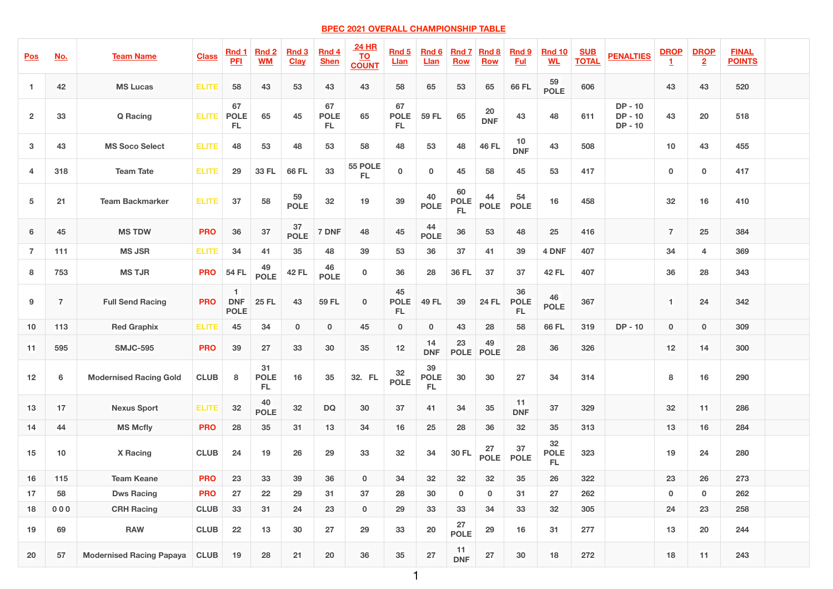## **BPEC 2021 OVERALL CHAMPIONSHIP TABLE**

| <u>Pos</u>              | <u>No.</u>     | <b>Team Name</b>                | <b>Class</b> | <b>Rnd 1</b><br><b>PFI</b>                                 | <b>Rnd 2</b><br><b>WM</b>      | <b>Rnd 3</b><br><b>Clay</b> | <b>Rnd 4</b><br><b>Shen</b> | <b>24 HR</b><br><b>TO</b><br><b>COUNT</b> | <b>Rnd 5</b><br><b>Llan</b> | <b>Rnd 6</b><br><u>Llan</u>    | <b>Rnd 7</b><br><b>Row</b> | <b>Rnd 8</b><br><b>Row</b> | <b>Rnd 9</b><br><b>Ful</b> | <b>Rnd 10</b><br><b>WL</b>     | <u>SUB</u><br><b>TOTAL</b> | <b>PENALTIES</b>                    | <b>DROP</b>    | <b>DROP</b><br>$\overline{2}$ | <b>FINAL</b><br><b>POINTS</b> |
|-------------------------|----------------|---------------------------------|--------------|------------------------------------------------------------|--------------------------------|-----------------------------|-----------------------------|-------------------------------------------|-----------------------------|--------------------------------|----------------------------|----------------------------|----------------------------|--------------------------------|----------------------------|-------------------------------------|----------------|-------------------------------|-------------------------------|
|                         | 42             | <b>MS Lucas</b>                 | <b>ELITE</b> | 58                                                         | 43                             | 53                          | 43                          | 43                                        | 58                          | 65                             | 53                         | 65                         | <b>66 FL</b>               | 59<br><b>POLE</b>              | 606                        |                                     | 43             | 43                            | 520                           |
| $\overline{2}$          | 33             | <b>Q</b> Racing                 | <b>ELITE</b> | 67<br><b>POLE</b><br><b>FL</b>                             | 65                             | 45                          | 67<br><b>POLE</b><br>FL     | 65                                        | 67<br><b>POLE</b><br>FL     | <b>59 FL</b>                   | 65                         | <b>20</b><br><b>DNF</b>    | 43                         | 48                             | 611                        | $DP - 10$<br>$DP - 10$<br>$DP - 10$ | 43             | 20                            | 518                           |
| $\mathbf{3}$            | 43             | <b>MS Soco Select</b>           | <b>ELITE</b> | 48                                                         | 53                             | 48                          | 53                          | 58                                        | 48                          | 53                             | 48                         | <b>46 FL</b>               | 10<br><b>DNF</b>           | 43                             | 508                        |                                     | 10             | 43                            | 455                           |
| $\overline{\mathbf{4}}$ | 318            | <b>Team Tate</b>                | <b>ELITE</b> | 29                                                         | <b>33 FL</b>                   | <b>66 FL</b>                | 33                          | 55 POLE<br>FL.                            | $\mathbf 0$                 | $\bf{0}$                       | 45                         | 58                         | 45                         | 53                             | 417                        |                                     | $\bf{0}$       | $\mathbf 0$                   | 417                           |
| $\overline{\mathbf{5}}$ | 21             | <b>Team Backmarker</b>          | <b>ELITE</b> | 37                                                         | 58                             | 59<br><b>POLE</b>           | 32                          | 19                                        | 39                          | 40<br><b>POLE</b>              | 60<br><b>POLE</b><br>FL    | 44<br><b>POLE</b>          | 54<br><b>POLE</b>          | 16                             | 458                        |                                     | 32             | 16                            | 410                           |
| $6\phantom{1}$          | 45             | <b>MS TDW</b>                   | <b>PRO</b>   | 36                                                         | 37                             | 37<br><b>POLE</b>           | 7 DNF                       | 48                                        | 45                          | 44<br><b>POLE</b>              | 36                         | 53                         | 48                         | 25                             | 416                        |                                     | $\overline{7}$ | 25                            | 384                           |
| $\overline{7}$          | 111            | <b>MS JSR</b>                   | <b>ELITE</b> | 34                                                         | 41                             | 35                          | 48                          | 39                                        | 53                          | 36                             | 37                         | 41                         | 39                         | 4 DNF                          | 407                        |                                     | 34             | $\overline{4}$                | 369                           |
| 8                       | 753            | <b>MS TJR</b>                   | <b>PRO</b>   | 54 FL                                                      | 49<br><b>POLE</b>              | <b>42 FL</b>                | 46<br><b>POLE</b>           | $\mathbf 0$                               | 36                          | 28                             | <b>36 FL</b>               | 37                         | 37                         | <b>42 FL</b>                   | 407                        |                                     | 36             | 28                            | 343                           |
| 9                       |                | <b>Full Send Racing</b>         | <b>PRO</b>   | and the state of the state of<br><b>DNF</b><br><b>POLE</b> | <b>25 FL</b>                   | 43                          | <b>59 FL</b>                | $\mathbf 0$                               | 45<br><b>POLE</b><br>FL     | <b>49 FL</b>                   | 39                         | <b>24 FL</b>               | 36<br><b>POLE</b><br>FL.   | 46<br><b>POLE</b>              | 367                        |                                     | $\blacksquare$ | 24                            | 342                           |
| 10                      | 113            | <b>Red Graphix</b>              | <b>ELITE</b> | 45                                                         | 34                             | $\bf{0}$                    | $\bf{0}$                    | 45                                        | $\bf{0}$                    | $\mathbf{0}$                   | 43                         | 28                         | 58                         | <b>66 FL</b>                   | 319                        | $DP - 10$                           | $\bf{0}$       | $\mathbf{0}$                  | 309                           |
| 11                      | 595            | <b>SMJC-595</b>                 | <b>PRO</b>   | 39                                                         | 27                             | 33                          | 30                          | 35                                        | 12                          | 14<br><b>DNF</b>               | 23<br><b>POLE</b>          | 49<br><b>POLE</b>          | 28                         | 36                             | 326                        |                                     | 12             | 14                            | 300                           |
| 12                      | $6\phantom{1}$ | <b>Modernised Racing Gold</b>   | <b>CLUB</b>  | 8                                                          | 31<br><b>POLE</b><br><b>FL</b> | 16                          | 35                          | 32. FL                                    | 32<br><b>POLE</b>           | 39<br><b>POLE</b><br><b>FL</b> | 30                         | 30                         | 27                         | 34                             | 314                        |                                     | 8              | 16                            | 290                           |
| 13                      | 17             | <b>Nexus Sport</b>              | <b>ELITE</b> | 32                                                         | 40<br><b>POLE</b>              | 32                          | <b>DQ</b>                   | 30                                        | 37                          | 41                             | 34                         | 35                         | 11<br><b>DNF</b>           | 37                             | 329                        |                                     | 32             | 11                            | 286                           |
| 14                      | 44             | <b>MS Mcfly</b>                 | <b>PRO</b>   | 28                                                         | 35                             | 31                          | 13                          | 34                                        | 16                          | 25                             | 28                         | 36                         | 32                         | 35                             | 313                        |                                     | 13             | 16                            | 284                           |
| 15                      | 10             | <b>X</b> Racing                 | <b>CLUB</b>  | 24                                                         | 19                             | 26                          | 29                          | 33                                        | 32                          | 34                             | <b>30 FL</b>               | 27<br><b>POLE</b>          | 37<br><b>POLE</b>          | 32<br><b>POLE</b><br><b>FL</b> | 323                        |                                     | 19             | 24                            | 280                           |
| 16                      | <b>115</b>     | <b>Team Keane</b>               | <b>PRO</b>   | 23                                                         | 33                             | 39                          | 36                          | $\mathbf{0}$                              | 34                          | 32                             | 32                         | 32                         | 35                         | 26                             | 322                        |                                     | 23             | 26                            | 273                           |
| 17                      | 58             | <b>Dws Racing</b>               | <b>PRO</b>   | 27                                                         | 22                             | 29                          | 31                          | 37                                        | 28                          | 30                             | $\mathbf 0$                | $\bf{0}$                   | 31                         | 27                             | 262                        |                                     | $\bf{0}$       | $\mathbf 0$                   | 262                           |
| 18                      | 000            | <b>CRH Racing</b>               | <b>CLUB</b>  | 33                                                         | 31                             | 24                          | 23                          | $\bf{0}$                                  | 29                          | 33                             | 33                         | 34                         | 33                         | 32                             | 305                        |                                     | 24             | 23                            | 258                           |
| 19                      | 69             | <b>RAW</b>                      | <b>CLUB</b>  | 22                                                         | 13                             | 30                          | 27                          | 29                                        | 33                          | 20                             | 27<br><b>POLE</b>          | 29                         | 16                         | 31                             | 277                        |                                     | 13             | 20                            | 244                           |
| <b>20</b>               | 57             | <b>Modernised Racing Papaya</b> | <b>CLUB</b>  | 19                                                         | 28                             | 21                          | <b>20</b>                   | 36                                        | 35                          | 27                             | 11<br><b>DNF</b>           | 27                         | 30                         | <b>18</b>                      | 272                        |                                     | <b>18</b>      | 11                            | 243                           |

1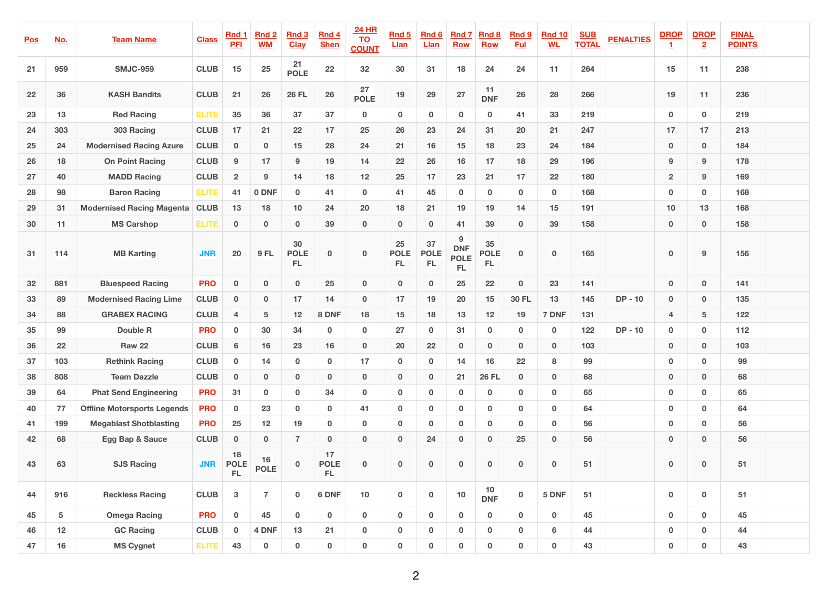| <u>Pos</u> | No.             | <b>Team Name</b>                   | <b>Class</b> | <b>Rnd 1</b><br><b>PFI</b> | <b>Rnd 2</b><br><b>WM</b> | <b>Rnd 3</b><br><b>Clay</b> | Rnd 4<br><b>Shen</b>     | <b>24 HR</b><br><b>TO</b><br><b>COUNT</b> | <b>Rnd 5</b><br><b>Llan</b>    | <b>Rnd 6</b><br><u>Llan</u> | <b>Rnd 7</b><br><b>Row</b>           | <b>Rnd 8</b><br><b>Row</b> | <b>Rnd 9</b><br><b>Ful</b> | <b>Rnd 10</b><br><b>WL</b> | <b>SUB</b><br><b>TOTAL</b> | <b>PENALTIES</b> | <b>DROP</b>    | <b>DROP</b><br>$\overline{2}$ | <b>FINAL</b><br><b>POINTS</b> |  |
|------------|-----------------|------------------------------------|--------------|----------------------------|---------------------------|-----------------------------|--------------------------|-------------------------------------------|--------------------------------|-----------------------------|--------------------------------------|----------------------------|----------------------------|----------------------------|----------------------------|------------------|----------------|-------------------------------|-------------------------------|--|
| 21         | 959             | <b>SMJC-959</b>                    | <b>CLUB</b>  | 15                         | <b>25</b>                 | 21<br><b>POLE</b>           | 22                       | 32                                        | 30                             | 31                          | 18                                   | 24                         | 24                         | 11                         | 264                        |                  | 15             | 11                            | 238                           |  |
| 22         | 36              | <b>KASH Bandits</b>                | <b>CLUB</b>  | 21                         | 26                        | <b>26 FL</b>                | 26                       | 27<br><b>POLE</b>                         | 19                             | 29                          | 27                                   | 11<br><b>DNF</b>           | 26                         | 28                         | 266                        |                  | 19             | 11                            | 236                           |  |
| 23         | 13              | <b>Red Racing</b>                  | <b>ELITE</b> | 35                         | 36                        | 37                          | 37                       | $\mathbf 0$                               | $\mathbf 0$                    | $\mathbf 0$                 | $\mathbf 0$                          | $\bf{0}$                   | 41                         | 33                         | 219                        |                  | $\bf{0}$       | $\mathbf 0$                   | 219                           |  |
| 24         | 303             | 303 Racing                         | <b>CLUB</b>  | 17                         | 21                        | 22                          | 17                       | 25                                        | 26                             | 23                          | 24                                   | 31                         | 20                         | 21                         | 247                        |                  | 17             | 17                            | 213                           |  |
| 25         | 24              | <b>Modernised Racing Azure</b>     | <b>CLUB</b>  | $\bf{0}$                   | $\mathbf 0$               | 15                          | 28                       | 24                                        | 21                             | 16                          | 15                                   | 18                         | 23                         | 24                         | 184                        |                  | $\bf{0}$       | $\bf{0}$                      | 184                           |  |
| 26         | 18              | <b>On Point Racing</b>             | <b>CLUB</b>  | 9                          | 17                        | 9                           | 19                       | 14                                        | 22                             | 26                          | 16                                   | 17                         | 18                         | 29                         | 196                        |                  | 9              | 9                             | 178                           |  |
| 27         | 40              | <b>MADD Racing</b>                 | <b>CLUB</b>  | $\overline{2}$             | 9                         | 14                          | 18                       | 12                                        | 25                             | 17                          | 23                                   | 21                         | 17                         | 22                         | 180                        |                  | $\overline{2}$ | 9                             | 169                           |  |
| 28         | 98              | <b>Baron Racing</b>                | <b>ELITE</b> | 41                         | 0 DNF                     | $\mathbf 0$                 | 41                       | $\mathbf 0$                               | 41                             | 45                          | $\mathbf 0$                          | $\bf{0}$                   | $\mathbf 0$                | $\bf{0}$                   | 168                        |                  | $\mathbf 0$    | $\mathbf 0$                   | 168                           |  |
| 29         | 31              | <b>Modernised Racing Magenta</b>   | <b>CLUB</b>  | 13                         | 18                        | 10                          | 24                       | <b>20</b>                                 | 18                             | 21                          | 19                                   | 19                         | 14                         | 15                         | 191                        |                  | 10             | 13                            | 168                           |  |
| 30         | 11              | <b>MS Carshop</b>                  | <b>ELITE</b> | $\bf{0}$                   | $\mathbf 0$               | $\bf{0}$                    | 39                       | $\bf{0}$                                  | $\mathbf{0}$                   | $\mathbf{0}$                | 41                                   | 39                         | $\mathbf{0}$               | 39                         | 158                        |                  | $\bf{0}$       | $\bf{0}$                      | 158                           |  |
| 31         | 114             | <b>MB Karting</b>                  | <b>JNR</b>   | 20                         | <b>9 FL</b>               | 30<br><b>POLE</b><br>FL     | $\mathbf{0}$             | $\bf{0}$                                  | <b>25</b><br><b>POLE</b><br>FL | 37<br><b>POLE</b><br>FL     | 9<br><b>DNF</b><br><b>POLE</b><br>FL | 35<br><b>POLE</b><br>FL,   | $\mathbf{0}$               | $\bf{0}$                   | 165                        |                  | $\bf{0}$       | 9                             | 156                           |  |
| 32         | 881             | <b>Bluespeed Racing</b>            | <b>PRO</b>   | $\bf{0}$                   | $\mathbf{0}$              | $\bf{0}$                    | 25                       | $\bf{0}$                                  | $\mathbf{0}$                   | $\mathbf{0}$                | <b>25</b>                            | 22                         | $\bf{0}$                   | 23                         | 141                        |                  | $\bf{0}$       | $\mathbf{0}$                  | 141                           |  |
| 33         | 89              | <b>Modernised Racing Lime</b>      | <b>CLUB</b>  | $\bf{0}$                   | $\mathbf{0}$              | 17                          | 14                       | $\bf{0}$                                  | 17                             | 19                          | 20                                   | 15                         | <b>30 FL</b>               | 13                         | 145                        | $DP - 10$        | $\bf{0}$       | $\mathbf 0$                   | 135                           |  |
| 34         | 88              | <b>GRABEX RACING</b>               | <b>CLUB</b>  | $\overline{4}$             | 5                         | 12                          | 8 DNF                    | 18                                        | 15                             | 18                          | 13                                   | 12                         | <b>19</b>                  | 7 DNF                      | 131                        |                  | $\overline{4}$ | $5\phantom{.0}$               | 122                           |  |
| 35         | 99              | <b>Double R</b>                    | <b>PRO</b>   | $\bf{0}$                   | 30                        | 34                          | $\bf{0}$                 | $\mathbf 0$                               | 27                             | $\mathbf 0$                 | 31                                   | $\mathbf 0$                | $\bf{0}$                   | $\bf{0}$                   | 122                        | $DP - 10$        | $\mathbf 0$    | $\mathbf 0$                   | 112                           |  |
| 36         | 22              | <b>Raw 22</b>                      | <b>CLUB</b>  | 6                          | 16                        | 23                          | 16                       | $\bf{0}$                                  | 20                             | 22                          | $\mathbf 0$                          | $\mathbf{0}$               | $\mathbf{0}$               | $\bf{0}$                   | 103                        |                  | $\bf{0}$       | $\mathbf{0}$                  | 103                           |  |
| 37         | 103             | <b>Rethink Racing</b>              | <b>CLUB</b>  | $\bf{0}$                   | 14                        | $\mathbf 0$                 | $\mathbf 0$              | 17                                        | $\mathbf 0$                    | $\mathbf 0$                 | 14                                   | 16                         | 22                         | 8                          | 99                         |                  | $\mathbf 0$    | $\mathbf 0$                   | 99                            |  |
| 38         | 808             | <b>Team Dazzle</b>                 | <b>CLUB</b>  | $\bf{0}$                   | $\mathbf{0}$              | $\mathbf{0}$                | $\mathbf 0$              | $\bf{0}$                                  | $\mathbf{0}$                   | $\mathbf{0}$                | 21                                   | <b>26 FL</b>               | $\mathbf{0}$               | $\mathbf 0$                | 68                         |                  | $\bf{0}$       | $\mathbf 0$                   | 68                            |  |
| 39         | 64              | <b>Phat Send Engineering</b>       | <b>PRO</b>   | 31                         | $\mathbf 0$               | $\mathbf 0$                 | 34                       | $\mathbf 0$                               | $\mathbf 0$                    | $\mathbf 0$                 | $\mathbf 0$                          | $\mathbf 0$                | $\mathbf 0$                | $\bf{0}$                   | 65                         |                  | $\bf{0}$       | $\mathbf{0}$                  | 65                            |  |
| 40         | 77              | <b>Offline Motorsports Legends</b> | <b>PRO</b>   | $\mathbf 0$                | 23                        | $\mathbf 0$                 | $\mathbf 0$              | 41                                        | $\mathbf 0$                    | $\mathbf 0$                 | $\mathbf 0$                          | $\bf{0}$                   | $\mathbf 0$                | $\mathbf 0$                | 64                         |                  | $\mathbf 0$    | $\mathbf 0$                   | 64                            |  |
| 41         | 199             | <b>Megablast Shotblasting</b>      | <b>PRO</b>   | 25                         | 12                        | 19                          | $\mathbf 0$              | $\mathbf 0$                               | $\mathbf 0$                    | $\mathbf 0$                 | $\bf{0}$                             | $\bf{0}$                   | $\mathbf 0$                | $\mathbf 0$                | 56                         |                  | $\mathbf 0$    | $\mathbf{0}$                  | 56                            |  |
| 42         | 68              | <b>Egg Bap &amp; Sauce</b>         | <b>CLUB</b>  | $\mathbf 0$                | $\mathbf{0}$              | $\overline{7}$              | $\mathbf{0}$             | $\bf{0}$                                  | $\mathbf{0}$                   | 24                          | $\mathbf 0$                          | $\bf{0}$                   | 25                         | $\bf{0}$                   | 56                         |                  | $\bf{0}$       | $\mathbf{0}$                  | 56                            |  |
| 43         | 63              | <b>SJS Racing</b>                  | <b>JNR</b>   | 18<br><b>POLE</b><br>FL    | 16<br><b>POLE</b>         | $\mathbf{0}$                | 17<br><b>POLE</b><br>FL. | $\mathbf{0}$                              | $\mathbf{0}$                   | $\mathbf{0}$                | $\bf{0}$                             | $\mathbf{0}$               | $\mathbf{0}$               | $\mathbf 0$                | 51                         |                  | $\mathbf 0$    | $\mathbf 0$                   | 51                            |  |
| 44         | 916             | <b>Reckless Racing</b>             | <b>CLUB</b>  | $\mathbf{3}$               | $\overline{7}$            | $\mathbf 0$                 | 6 DNF                    | 10                                        | $\mathbf 0$                    | $\mathbf 0$                 | 10                                   | 10<br><b>DNF</b>           | $\mathbf 0$                | 5 DNF                      | 51                         |                  | $\mathbf 0$    | $\bf{0}$                      | 51                            |  |
| 45         | 5               | <b>Omega Racing</b>                | <b>PRO</b>   | $\mathbf{0}$               | 45                        | $\mathbf 0$                 | $\mathbf 0$              | $\mathbf 0$                               | $\mathbf{0}$                   | $\mathbf{0}$                | $\mathbf{0}$                         | $\mathbf{0}$               | $\mathbf 0$                | $\mathbf 0$                | 45                         |                  | $\mathbf 0$    | $\mathbf{0}$                  | 45                            |  |
| 46         | 12 <sub>2</sub> | <b>GC Racing</b>                   | <b>CLUB</b>  | $\sim$                     | 4 DNF                     | 13                          | 21                       | $\mathbf 0$                               | U.                             | 0                           |                                      | $\bf{0}$                   | $\mathbf 0$                | 6                          | 44                         |                  | $\bf{0}$       |                               | 44                            |  |
| 47         | 16              | <b>MS Cygnet</b>                   | <b>ELITE</b> | 43                         | $\mathbf{0}$              | $\mathbf 0$                 | $\mathbf{0}$             | $\mathbf 0$                               | $\mathbf 0$                    | $\mathbf 0$                 | $\bf{0}$                             | $\mathbf{0}$               | $\mathbf 0$                | $\mathbf 0$                | 43                         |                  | $\bf{0}$       | $\mathbf 0$                   | 43                            |  |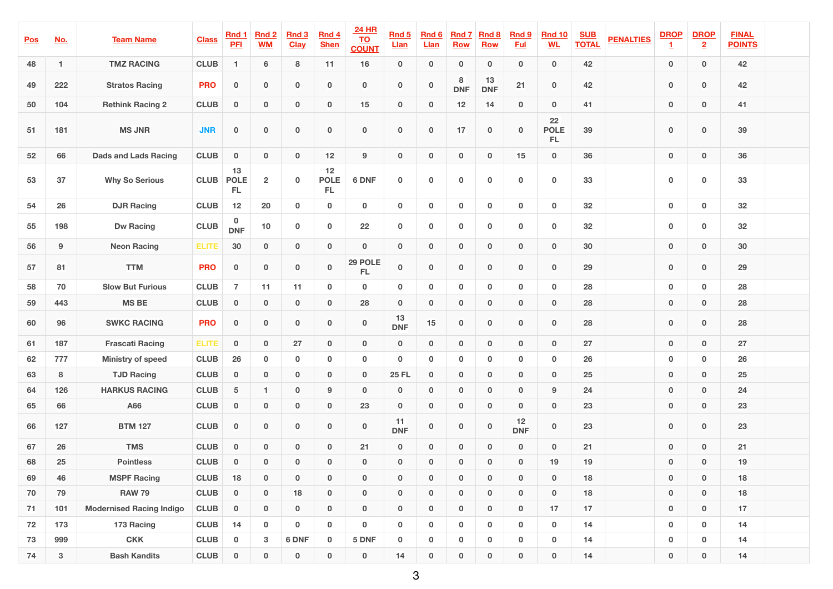| <u>Pos</u> | <u>No.</u>     | <b>Team Name</b>                | <b>Class</b> | <b>Rnd 1</b><br><b>PFI</b>     | <b>Rnd 2</b><br><b>WM</b> | <b>Rnd 3</b><br><b>Clay</b> | <b>Rnd 4</b><br><b>Shen</b> | <b>24 HR</b><br><u>TO</u><br><b>COUNT</b> | <b>Rnd 5</b><br><u>Llan</u> | <b>Rnd 6</b><br><u>Llan</u> | <b>Rnd 7</b><br><b>Row</b> | <b>Rnd 8</b><br><b>Row</b> | <b>Rnd 9</b><br><u>Ful</u> | <b>Rnd 10</b><br><u>WL</u> | <b>SUB</b><br><b>TOTAL</b> | <b>PENALTIES</b> | <b>DROP</b> | <b>DROP</b><br>$\overline{2}$ | <b>FINAL</b><br><b>POINTS</b> |  |
|------------|----------------|---------------------------------|--------------|--------------------------------|---------------------------|-----------------------------|-----------------------------|-------------------------------------------|-----------------------------|-----------------------------|----------------------------|----------------------------|----------------------------|----------------------------|----------------------------|------------------|-------------|-------------------------------|-------------------------------|--|
| 48         |                | <b>TMZ RACING</b>               | <b>CLUB</b>  |                                | 6                         | 8                           | 11                          | 16                                        | $\mathbf{0}$                | $\bf{0}$                    | $\bf{0}$                   | $\bf{0}$                   | $\mathbf{0}$               | $\bf{0}$                   | 42                         |                  | $\bf{0}$    | $\mathbf{0}$                  | 42                            |  |
| 49         | 222            | <b>Stratos Racing</b>           | <b>PRO</b>   | $\bf{0}$                       | $\bf{0}$                  | $\bf{0}$                    | $\bf{0}$                    | $\mathbf 0$                               | $\mathbf{0}$                | $\bf{0}$                    | 8<br><b>DNF</b>            | 13<br><b>DNF</b>           | 21                         | $\overline{\mathbf{0}}$    | 42                         |                  | $\bf{0}$    | $\bf{0}$                      | 42                            |  |
| 50         | 104            | <b>Rethink Racing 2</b>         | <b>CLUB</b>  | $\mathbf{0}$                   | $\mathbf 0$               | $\bf{0}$                    | $\bf{0}$                    | 15                                        | $\mathbf{0}$                | $\bf{0}$                    | 12                         | 14                         | $\bf{0}$                   | $\bf{0}$                   | 41                         |                  | $\bf{0}$    | $\bf{0}$                      | 41                            |  |
| 51         | 181            | <b>MS JNR</b>                   | <b>JNR</b>   | $\bf{0}$                       | $\bf{0}$                  | $\bf{0}$                    | $\bf{0}$                    | $\bf{0}$                                  | $\mathbf 0$                 | $\bf{0}$                    | 17                         | $\bf{0}$                   | $\mathbf 0$                | 22<br><b>POLE</b><br>FL.   | 39                         |                  | $\bf{0}$    | $\bf{0}$                      | 39                            |  |
| 52         | 66             | <b>Dads and Lads Racing</b>     | <b>CLUB</b>  | $\bf{0}$                       | $\mathbf 0$               | $\bf{0}$                    | 12                          | 9                                         | $\mathbf{0}$                | $\mathbf{0}$                | $\bf{0}$                   | $\bf{0}$                   | 15                         | $\bf{0}$                   | 36                         |                  | $\bf{0}$    | $\bf{0}$                      | 36                            |  |
| 53         | 37             | <b>Why So Serious</b>           | <b>CLUB</b>  | 13<br><b>POLE</b><br><b>FL</b> | $\overline{2}$            | $\bf{0}$                    | 12<br><b>POLE</b><br>FL     | 6 DNF                                     | $\mathbf 0$                 | $\mathbf 0$                 | $\mathbf 0$                | $\mathbf 0$                | $\mathbf 0$                | $\mathbf 0$                | 33                         |                  | $\mathbf 0$ | $\bf{0}$                      | 33                            |  |
| 54         | 26             | <b>DJR Racing</b>               | <b>CLUB</b>  | 12                             | 20                        | $\bf{0}$                    | $\mathbf 0$                 | $\mathbf 0$                               | $\mathbf 0$                 | $\mathbf 0$                 | $\mathbf 0$                | $\mathbf 0$                | $\mathbf 0$                | $\bf{0}$                   | 32                         |                  | $\bf{0}$    | $\mathbf 0$                   | 32                            |  |
| 55         | 198            | <b>Dw Racing</b>                | <b>CLUB</b>  | $0$<br>DNF                     | 10                        | $\mathbf 0$                 | $\bf{0}$                    | 22                                        | $\mathbf 0$                 | $\mathbf 0$                 | $\mathbf 0$                | $\mathbf 0$                | $\mathbf 0$                | $\mathbf 0$                | 32                         |                  | $\bf{0}$    | $\mathbf 0$                   | 32                            |  |
| 56         | 9              | <b>Neon Racing</b>              | <b>ELITE</b> | 30                             | $\bf{0}$                  | $\bf{0}$                    | $\mathbf{0}$                | $\bf{0}$                                  | $\mathbf{0}$                | $\mathbf{0}$                | $\bf{0}$                   | $\bf{0}$                   | $\mathbf{0}$               | $\mathbf 0$                | 30                         |                  | $\bf{0}$    | $\bf{0}$                      | 30                            |  |
| 57         | 81             | <b>TTM</b>                      | <b>PRO</b>   | $\mathbf{0}$                   | $\mathbf{0}$              | $\bf{0}$                    | $\bf{0}$                    | 29 POLE<br>[FL]                           | $\bf{0}$                    | $\bf{0}$                    | $\bf{0}$                   | $\bf{0}$                   | $\bf{0}$                   | $\bf{0}$                   | 29                         |                  | $\bf{0}$    | $\bf{0}$                      | 29                            |  |
| 58         | 70             | <b>Slow But Furious</b>         | <b>CLUB</b>  |                                | 11                        | 11                          | $\bf{0}$                    | $\mathbf 0$                               | $\mathbf{0}$                | $\bf{0}$                    | $\mathbf 0$                | $\bf{0}$                   | $\mathbf 0$                | $\bf{0}$                   | <b>28</b>                  |                  | $\bf{0}$    | $\bf{0}$                      | <b>28</b>                     |  |
| 59         | 443            | <b>MSBE</b>                     | <b>CLUB</b>  | $\bf{0}$                       | $\bf{0}$                  | $\bf{0}$                    | $\bf{0}$                    | 28                                        | $\mathbf{0}$                | $\bf{0}$                    | $\bf{0}$                   | $\bf{0}$                   | $\bf{0}$                   | $\bf{0}$                   | 28                         |                  | $\bf{0}$    | $\bf{0}$                      | 28                            |  |
| 60         | 96             | <b>SWKC RACING</b>              | <b>PRO</b>   | $\bf{0}$                       | $\bf{0}$                  | $\bf{0}$                    | $\bf{0}$                    | $\mathbf 0$                               | $13$<br><b>DNF</b>          | 15                          | $\bf{0}$                   | $\bf{0}$                   | $\bf{0}$                   | $\bf{0}$                   | 28                         |                  | $\bf{0}$    | $\bf{0}$                      | 28                            |  |
| 61         | 187            | <b>Frascati Racing</b>          | <b>ELITE</b> | $\bf{0}$                       | $\bf{0}$                  | 27                          | $\mathbf{0}$                | $\bf{0}$                                  | $\mathbf{0}$                | $\bf{0}$                    | $\bf{0}$                   | $\bf{0}$                   | $\bf{0}$                   | $\bf{0}$                   | 27                         |                  | $\bf{0}$    | $\bf{0}$                      | 27                            |  |
| 62         | 777            | <b>Ministry of speed</b>        | <b>CLUB</b>  | <b>26</b>                      | $\mathbf 0$               | $\bf{0}$                    | $\bf{0}$                    | $\mathbf 0$                               | $\mathbf 0$                 | $\mathbf 0$                 | $\mathbf 0$                | $\bf{0}$                   | $\bf{0}$                   | $\bf{0}$                   | 26                         |                  | $\bf{0}$    | $\mathbf 0$                   | 26                            |  |
| 63         | 8              | <b>TJD Racing</b>               | <b>CLUB</b>  | $\bf{0}$                       | $\bf{0}$                  | $\bf{0}$                    | $\mathbf{0}$                | $\bf{0}$                                  | <b>25 FL</b>                | $\bf{0}$                    | $\bf{0}$                   | $\bf{0}$                   | $\bf{0}$                   | $\bf{0}$                   | <b>25</b>                  |                  | $\bf{0}$    | $\bf{0}$                      | <b>25</b>                     |  |
| 64         | 126            | <b>HARKUS RACING</b>            | <b>CLUB</b>  | $5\overline{)}$                | 1                         | $\bf{0}$                    | 9                           | $\bf{0}$                                  | $\mathbf{0}$                | $\bf{0}$                    | $\bf{0}$                   | $\bf{0}$                   | $\bf{0}$                   | 9                          | 24                         |                  | $\bf{0}$    | $\bf{0}$                      | 24                            |  |
| 65         | 66             | <b>A66</b>                      | <b>CLUB</b>  | $\bf{0}$                       | $\mathbf{0}$              | $\mathbf{0}$                | $\bf{0}$                    | 23                                        | $\mathbf{0}$                | $\bf{0}$                    | $\bf{0}$                   | $\mathbf{0}$               | $\bf{0}$                   | $\bf{0}$                   | 23                         |                  | $\bf{0}$    | $\bf{0}$                      | 23                            |  |
| 66         | 127            | <b>BTM 127</b>                  | <b>CLUB</b>  | $\bf{0}$                       | $\bf{0}$                  | $\bf{0}$                    | $\bf{0}$                    | $\mathbf 0$                               | 11<br><b>DNF</b>            | $\bf{0}$                    | $\bf{0}$                   | $\bf{0}$                   | 12<br><b>DNF</b>           | $\mathbf 0$                | 23                         |                  | $\bf{0}$    | $\bf{0}$                      | 23                            |  |
| 67         | 26             | <b>TMS</b>                      | <b>CLUB</b>  | $\bf{0}$                       | $\mathbf{0}$              | $\bf{0}$                    | $\bf{0}$                    | 21                                        | $\mathbf{0}$                | $\bf{0}$                    | $\bf{0}$                   | $\bf{0}$                   | $\bf{0}$                   | $\bf{0}$                   | 21                         |                  | $\bf{0}$    | $\bf{0}$                      | 21                            |  |
| 68         | 25             | <b>Pointless</b>                | <b>CLUB</b>  | $\bf{0}$                       | $\mathbf{0}$              | $\bf{0}$                    | $\mathbf{0}$                | $\bf{0}$                                  | $\mathbf{0}$                | $\bf{0}$                    | $\bf{0}$                   | $\bf{0}$                   | $\bf{0}$                   | 19                         | 19                         |                  | $\bf{0}$    | $\bf{0}$                      | 19                            |  |
| 69         | 46             | <b>MSPF Racing</b>              | <b>CLUB</b>  | <b>18</b>                      | $\bf{0}$                  | $\bf{0}$                    | $\mathbf{0}$                | $\bf{0}$                                  | $\mathbf{0}$                | $\bf{0}$                    | $\bf{0}$                   | $\bf{0}$                   | $\bf{0}$                   | $\bf{0}$                   | <b>18</b>                  |                  | $\bf{0}$    | $\bf{0}$                      | 18                            |  |
| 70         | 79             | <b>RAW 79</b>                   | <b>CLUB</b>  | $\bf{0}$                       | $\mathbf{0}$              | 18                          | $\mathbf{0}$                | $\bf{0}$                                  | $\mathbf{0}$                | $\bf{0}$                    | $\bf{0}$                   | $\bf{0}$                   | $\bf{0}$                   | $\mathbf 0$                | 18                         |                  | $\bf{0}$    | $\bf{0}$                      | 18                            |  |
| 71         | 101            | <b>Modernised Racing Indigo</b> | <b>CLUB</b>  | $\bf{0}$                       | $\mathbf{0}$              | $\bf{0}$                    | $\mathbf{0}$                | $\mathbf 0$                               | $\mathbf{0}$                | $\bf{0}$                    | $\bf{0}$                   | $\bf{0}$                   | $\bf{0}$                   | 17                         | 17                         |                  | $\bf{0}$    | $\bf{0}$                      | 17                            |  |
| 72         | 173            | 173 Racing                      | <b>CLUB</b>  | 14                             | $\mathbf 0$               | $\mathbf 0$                 | $\bf{0}$                    | $\mathbf 0$                               | $\mathbf 0$                 | $\mathbf 0$                 | $\mathbf{0}$               | $\mathbf 0$                | $\boldsymbol{0}$           | $\mathbf 0$                | 14                         |                  | $\mathbf 0$ | $\mathbf{0}$                  | 14                            |  |
| 73         | 999            | <b>CKK</b>                      | <b>CLUB</b>  | $\bf{0}$                       | 3 <sup>1</sup>            | 6 DNF                       | $\mathbf 0$                 | 5 DNF                                     | $\mathbf 0$                 | $\mathbf{0}$                | $\mathbf{0}$               | $\bf{0}$                   | $\bf{0}$                   | $\bf{0}$                   | 14                         |                  | $\bf{0}$    | $\mathbf 0$                   | 14                            |  |
| 74         | 3 <sup>1</sup> | <b>Bash Kandits</b>             | <b>CLUB</b>  | $\bf{0}$                       | $\mathbf{0}$              | $\bf{0}$                    | $\mathbf{0}$                | $\mathbf{0}$                              | 14                          | $\mathbf{0}$                | $\mathbf{0}$               | $\bf{0}$                   | $\bf{0}$                   | $\bf{0}$                   | 14                         |                  | $\bf{0}$    | $\bf{0}$                      | 14                            |  |